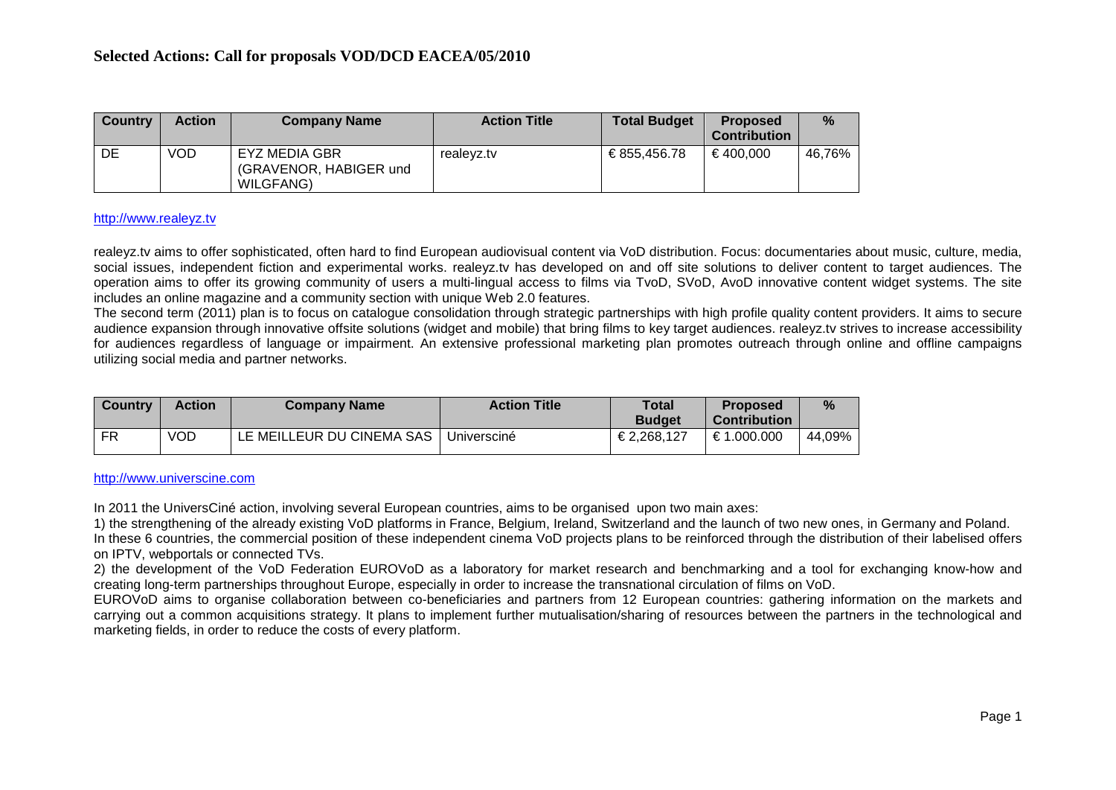| <b>Country</b> | <b>Action</b> | <b>Company Name</b>                                  | <b>Action Title</b> | <b>Total Budget</b> | <b>Proposed</b><br><b>Contribution</b> | $\frac{9}{6}$ |
|----------------|---------------|------------------------------------------------------|---------------------|---------------------|----------------------------------------|---------------|
| DE             | VOD           | EYZ MEDIA GBR<br>(GRAVENOR, HABIGER und<br>WILGFANG) | realevz.tv          | € 855.456.78        | €400.000                               | 46.76%        |

#### [http://www.realeyz.tv](http://www.realeyz.tv/)

realeyz.tv aims to offer sophisticated, often hard to find European audiovisual content via VoD distribution. Focus: documentaries about music, culture, media, social issues, independent fiction and experimental works. realeyz.tv has developed on and off site solutions to deliver content to target audiences. The operation aims to offer its growing community of users a multi-lingual access to films via TvoD, SVoD, AvoD innovative content widget systems. The site includes an online magazine and a community section with unique Web 2.0 features.

The second term (2011) plan is to focus on catalogue consolidation through strategic partnerships with high profile quality content providers. It aims to secure audience expansion through innovative offsite solutions (widget and mobile) that bring films to key target audiences. realeyz.tv strives to increase accessibility for audiences regardless of language or impairment. An extensive professional marketing plan promotes outreach through online and offline campaigns utilizing social media and partner networks.

| <b>Country</b> | <b>Action</b> | <b>Company Name</b>       | <b>Action Title</b> | <b>Total</b><br><b>Budget</b> | <b>Proposed</b><br><b>Contribution</b> | $\frac{0}{2}$ |
|----------------|---------------|---------------------------|---------------------|-------------------------------|----------------------------------------|---------------|
| <b>FR</b>      | <b>VOD</b>    | LE MEILLEUR DU CINEMA SAS | Universciné         | €2.268.127                    | €1.000.000                             | 44,09%        |

#### [http://www.universcine.com](http://www.universcine.com/)

In 2011 the UniversCiné action, involving several European countries, aims to be organised upon two main axes:

1) the strengthening of the already existing VoD platforms in France, Belgium, Ireland, Switzerland and the launch of two new ones, in Germany and Poland. In these 6 countries, the commercial position of these independent cinema VoD projects plans to be reinforced through the distribution of their labelised offers on IPTV, webportals or connected TVs.

2) the development of the VoD Federation EUROVoD as a laboratory for market research and benchmarking and a tool for exchanging know-how and creating long-term partnerships throughout Europe, especially in order to increase the transnational circulation of films on VoD.

EUROVoD aims to organise collaboration between co-beneficiaries and partners from 12 European countries: gathering information on the markets and carrying out a common acquisitions strategy. It plans to implement further mutualisation/sharing of resources between the partners in the technological and marketing fields, in order to reduce the costs of every platform.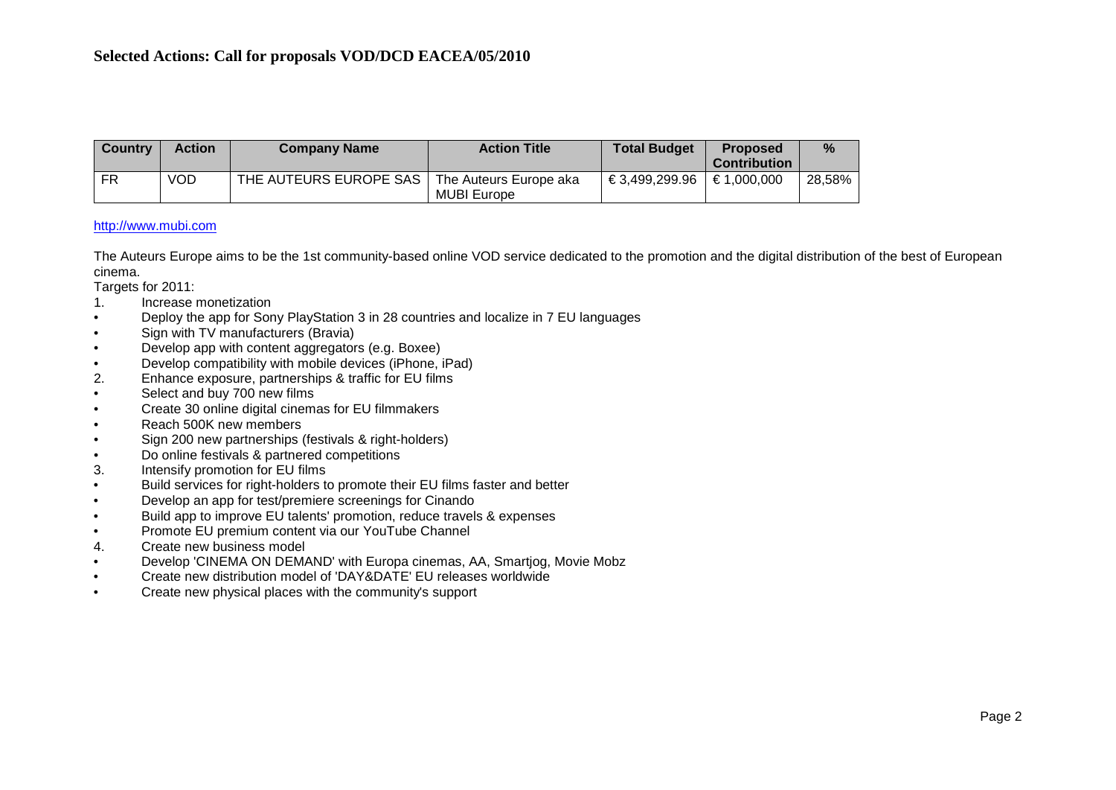| Country | <b>Action</b> | <b>Company Name</b>    | <b>Action Title</b>    | <b>Total Budget</b> | <b>Proposed</b>      | $\%$   |
|---------|---------------|------------------------|------------------------|---------------------|----------------------|--------|
|         |               |                        |                        |                     | <b>Contribution</b>  |        |
| FR      | VOD           | THE AUTEURS EUROPE SAS | The Auteurs Europe aka | €3,499,299.96       | $\epsilon$ 1.000.000 | 28,58% |
|         |               |                        | <b>MUBI Europe</b>     |                     |                      |        |

## [http://www.mubi.com](http://www.mubi.com/)

The Auteurs Europe aims to be the 1st community-based online VOD service dedicated to the promotion and the digital distribution of the best of European cinema.

Targets for 2011:

- 1. Increase monetization
- Deploy the app for Sony PlayStation 3 in 28 countries and localize in 7 EU languages
- Sign with TV manufacturers (Bravia)
- Develop app with content aggregators (e.g. Boxee)
- Develop compatibility with mobile devices (iPhone, iPad)
- 2. Enhance exposure, partnerships & traffic for EU films
- Select and buy 700 new films
- Create 30 online digital cinemas for EU filmmakers
- Reach 500K new members
- Sign 200 new partnerships (festivals & right-holders)
- Do online festivals & partnered competitions
- 3. Intensify promotion for EU films
- Build services for right-holders to promote their EU films faster and better
- Develop an app for test/premiere screenings for Cinando
- Build app to improve EU talents' promotion, reduce travels & expenses
- Promote EU premium content via our YouTube Channel
- 4. Create new business model
- Develop 'CINEMA ON DEMAND' with Europa cinemas, AA, Smartjog, Movie Mobz
- Create new distribution model of 'DAY&DATE' EU releases worldwide
- Create new physical places with the community's support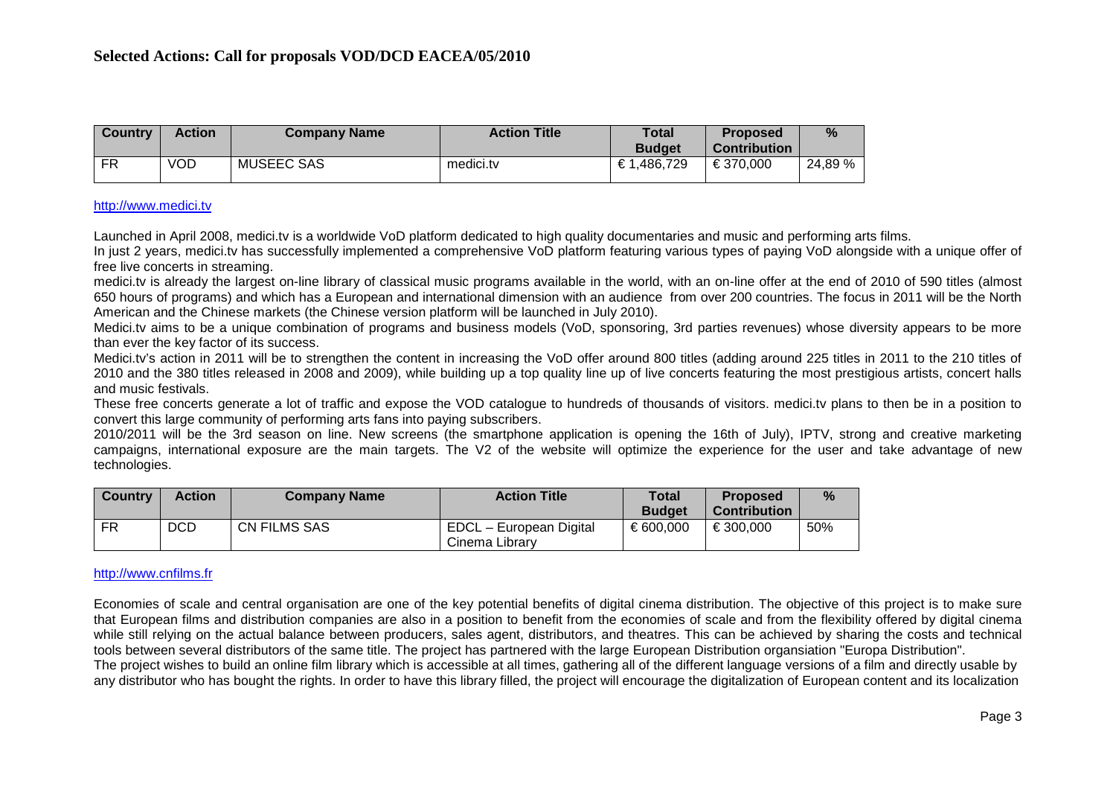| <b>Country</b> | Action     | <b>Company Name</b> | <b>Action Title</b> | Total<br><b>Budget</b> | <b>Proposed</b><br><b>Contribution</b> | %       |
|----------------|------------|---------------------|---------------------|------------------------|----------------------------------------|---------|
| FR             | <b>VOD</b> | <b>MUSEEC SAS</b>   | medici.tv           | €1.486.729             | €370.000                               | 24,89 % |

#### [http://www.medici.tv](http://www.medici.tv/)

Launched in April 2008, medici.tv is a worldwide VoD platform dedicated to high quality documentaries and music and performing arts films.

In just 2 years, medici.ty has successfully implemented a comprehensive VoD platform featuring various types of paying VoD alongside with a unique offer of free live concerts in streaming.

medici.tv is already the largest on-line library of classical music programs available in the world, with an on-line offer at the end of 2010 of 590 titles (almost 650 hours of programs) and which has a European and international dimension with an audience from over 200 countries. The focus in 2011 will be the North American and the Chinese markets (the Chinese version platform will be launched in July 2010).

Medici.tv aims to be a unique combination of programs and business models (VoD, sponsoring, 3rd parties revenues) whose diversity appears to be more than ever the key factor of its success.

Medici.tv's action in 2011 will be to strengthen the content in increasing the VoD offer around 800 titles (adding around 225 titles in 2011 to the 210 titles of 2010 and the 380 titles released in 2008 and 2009), while building up a top quality line up of live concerts featuring the most prestigious artists, concert halls and music festivals.

These free concerts generate a lot of traffic and expose the VOD catalogue to hundreds of thousands of visitors. medici.tv plans to then be in a position to convert this large community of performing arts fans into paying subscribers.

2010/2011 will be the 3rd season on line. New screens (the smartphone application is opening the 16th of July), IPTV, strong and creative marketing campaigns, international exposure are the main targets. The V2 of the website will optimize the experience for the user and take advantage of new technologies.

| <b>Country</b> | <b>Action</b> | <b>Company Name</b> | <b>Action Title</b>     | Total         | <b>Proposed</b>     | $\%$ |
|----------------|---------------|---------------------|-------------------------|---------------|---------------------|------|
|                |               |                     |                         | <b>Budget</b> | <b>Contribution</b> |      |
| FR             | <b>DCD</b>    | <b>CN FILMS SAS</b> | EDCL - European Digital | € 600,000     | €300.000            | 50%  |
|                |               |                     | Cinema Librarv          |               |                     |      |

## [http://www.cnfilms.fr](http://www.cnfilms.fr/)

Economies of scale and central organisation are one of the key potential benefits of digital cinema distribution. The objective of this project is to make sure that European films and distribution companies are also in a position to benefit from the economies of scale and from the flexibility offered by digital cinema while still relying on the actual balance between producers, sales agent, distributors, and theatres. This can be achieved by sharing the costs and technical tools between several distributors of the same title. The project has partnered with the large European Distribution organsiation "Europa Distribution". The project wishes to build an online film library which is accessible at all times, gathering all of the different language versions of a film and directly usable by any distributor who has bought the rights. In order to have this library filled, the project will encourage the digitalization of European content and its localization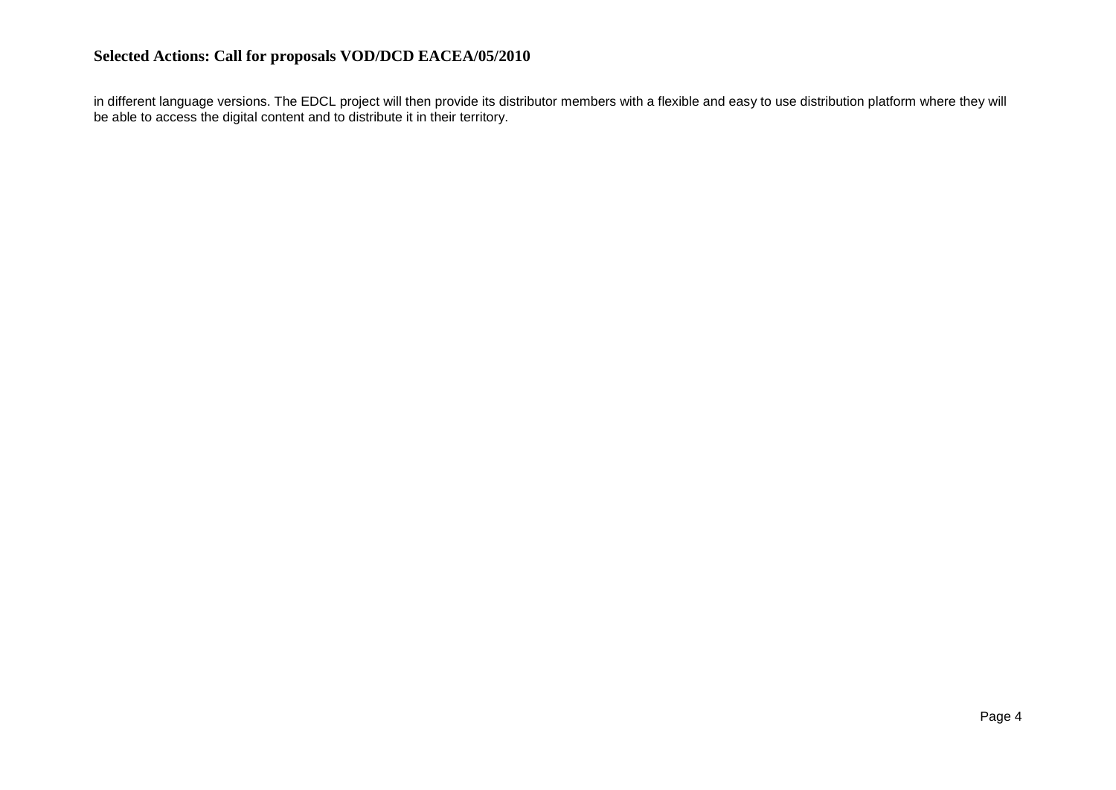in different language versions. The EDCL project will then provide its distributor members with a flexible and easy to use distribution platform where they will be able to access the digital content and to distribute it in their territory.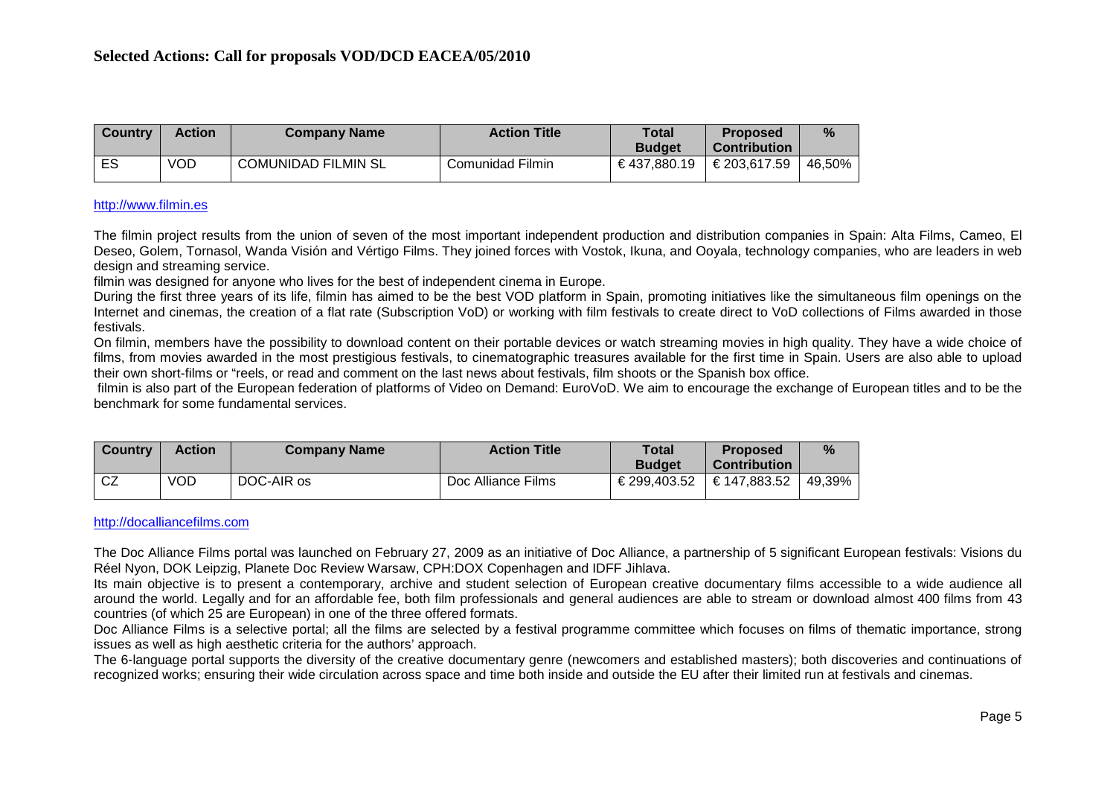| <b>Country</b> | <b>Action</b> | <b>Company Name</b>        | <b>Action Title</b> | <b>Total</b>  | <b>Proposed</b> | %      |
|----------------|---------------|----------------------------|---------------------|---------------|-----------------|--------|
|                |               |                            |                     | <b>Budget</b> | Contribution    |        |
| ES             | VOD           | <b>COMUNIDAD FILMIN SL</b> | Comunidad Filmin    | €437.880.19   | €203,617.59     | 46,50% |

## [http://www.filmin.es](http://www.filmin.es/)

The filmin project results from the union of seven of the most important independent production and distribution companies in Spain: Alta Films, Cameo, El Deseo, Golem, Tornasol, Wanda Visión and Vértigo Films. They joined forces with Vostok, Ikuna, and Ooyala, technology companies, who are leaders in web design and streaming service.

filmin was designed for anyone who lives for the best of independent cinema in Europe.

During the first three years of its life, filmin has aimed to be the best VOD platform in Spain, promoting initiatives like the simultaneous film openings on the Internet and cinemas, the creation of a flat rate (Subscription VoD) or working with film festivals to create direct to VoD collections of Films awarded in those festivals.

On filmin, members have the possibility to download content on their portable devices or watch streaming movies in high quality. They have a wide choice of films, from movies awarded in the most prestigious festivals, to cinematographic treasures available for the first time in Spain. Users are also able to upload their own short-films or "reels, or read and comment on the last news about festivals, film shoots or the Spanish box office.

filmin is also part of the European federation of platforms of Video on Demand: EuroVoD. We aim to encourage the exchange of European titles and to be the benchmark for some fundamental services.

| <b>Country</b> | <b>Action</b> | <b>Company Name</b> | <b>Action Title</b> | Total         | <b>Proposed</b>     | $\%$   |
|----------------|---------------|---------------------|---------------------|---------------|---------------------|--------|
|                |               |                     |                     | <b>Budget</b> | <b>Contribution</b> |        |
| $\sim$<br>ັບ∠  | <b>VOD</b>    | DOC-AIR os          | Doc Alliance Films  | €299,403.52   | €147,883.52         | 49,39% |

#### [http://docalliancefilms.com](http://docalliancefilms.com/)

The Doc Alliance Films portal was launched on February 27, 2009 as an initiative of Doc Alliance, a partnership of 5 significant European festivals: Visions du Réel Nyon, DOK Leipzig, Planete Doc Review Warsaw, CPH:DOX Copenhagen and IDFF Jihlava.

Its main objective is to present a contemporary, archive and student selection of European creative documentary films accessible to a wide audience all around the world. Legally and for an affordable fee, both film professionals and general audiences are able to stream or download almost 400 films from 43 countries (of which 25 are European) in one of the three offered formats.

Doc Alliance Films is a selective portal; all the films are selected by a festival programme committee which focuses on films of thematic importance, strong issues as well as high aesthetic criteria for the authors' approach.

The 6-language portal supports the diversity of the creative documentary genre (newcomers and established masters); both discoveries and continuations of recognized works; ensuring their wide circulation across space and time both inside and outside the EU after their limited run at festivals and cinemas.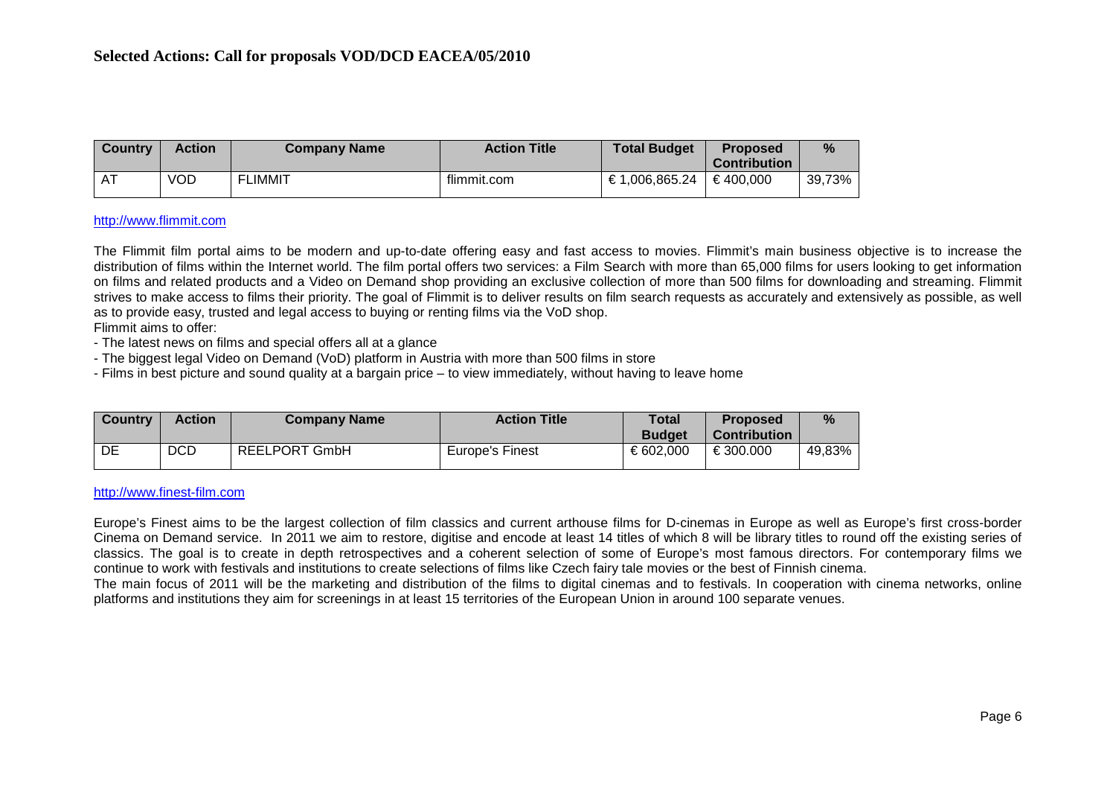| Country | <b>Action</b> | <b>Company Name</b> | <b>Action Title</b> | <b>Total Budget</b> | <b>Proposed</b>                 | %      |
|---------|---------------|---------------------|---------------------|---------------------|---------------------------------|--------|
| $\sim$  | <b>VOD</b>    | <b>FLIMMIT</b>      | flimmit.com         | €1,006,865.24       | <b>Contribution</b><br>€400.000 | 39,73% |

#### [http://www.flimmit.com](http://www.flimmit.com/)

The Flimmit film portal aims to be modern and up-to-date offering easy and fast access to movies. Flimmit's main business objective is to increase the distribution of films within the Internet world. The film portal offers two services: a Film Search with more than 65,000 films for users looking to get information on films and related products and a Video on Demand shop providing an exclusive collection of more than 500 films for downloading and streaming. Flimmit strives to make access to films their priority. The goal of Flimmit is to deliver results on film search requests as accurately and extensively as possible, as well as to provide easy, trusted and legal access to buying or renting films via the VoD shop.

Flimmit aims to offer:

- The latest news on films and special offers all at a glance

- The biggest legal Video on Demand (VoD) platform in Austria with more than 500 films in store

- Films in best picture and sound quality at a bargain price – to view immediately, without having to leave home

| <b>Country</b> | <b>Action</b> | <b>Company Name</b>  | <b>Action Title</b> | <b>Total</b>  | <b>Proposed</b> | %      |
|----------------|---------------|----------------------|---------------------|---------------|-----------------|--------|
|                |               |                      |                     | <b>Budget</b> | Contribution    |        |
| DE             | <b>DCD</b>    | <b>REELPORT GmbH</b> | Europe's Finest     | € 602.000     | €300.000        | 49,83% |

#### [http://www.finest-film.com](http://www.finest-film.com/)

Europe's Finest aims to be the largest collection of film classics and current arthouse films for D-cinemas in Europe as well as Europe's first cross-border Cinema on Demand service. In 2011 we aim to restore, digitise and encode at least 14 titles of which 8 will be library titles to round off the existing series of classics. The goal is to create in depth retrospectives and a coherent selection of some of Europe's most famous directors. For contemporary films we continue to work with festivals and institutions to create selections of films like Czech fairy tale movies or the best of Finnish cinema.

The main focus of 2011 will be the marketing and distribution of the films to digital cinemas and to festivals. In cooperation with cinema networks, online platforms and institutions they aim for screenings in at least 15 territories of the European Union in around 100 separate venues.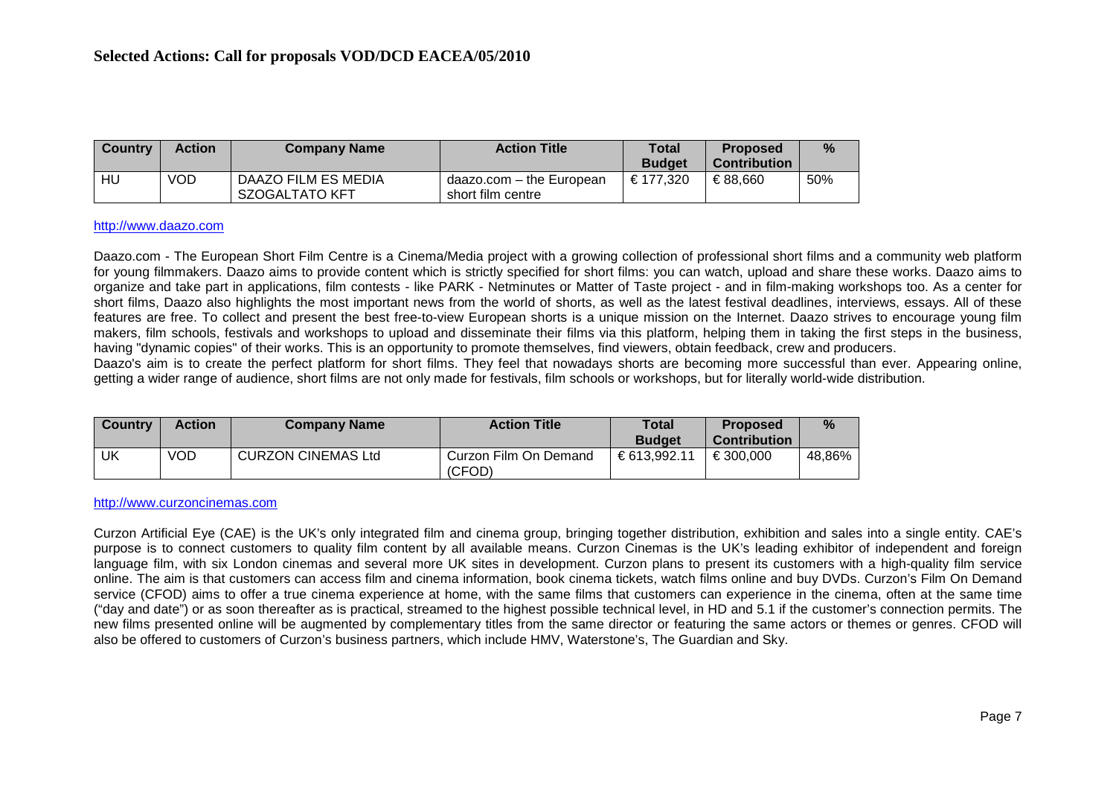| <b>Country</b> | <b>Action</b> | <b>Company Name</b>                   | <b>Action Title</b>                           | Total<br><b>Budget</b> | <b>Proposed</b><br>∖ Contribution∖ | $\%$ |
|----------------|---------------|---------------------------------------|-----------------------------------------------|------------------------|------------------------------------|------|
| HU             | VOD           | DAAZO FILM ES MEDIA<br>SZOGALTATO KFT | daazo.com – the European<br>short film centre | € 177.320              | €88.660                            | 50%  |

#### [http://www.daazo.com](http://www.daazo.com/)

Daazo.com - The European Short Film Centre is a Cinema/Media project with a growing collection of professional short films and a community web platform for young filmmakers. Daazo aims to provide content which is strictly specified for short films: you can watch, upload and share these works. Daazo aims to organize and take part in applications, film contests - like PARK - Netminutes or Matter of Taste project - and in film-making workshops too. As a center for short films, Daazo also highlights the most important news from the world of shorts, as well as the latest festival deadlines, interviews, essays. All of these features are free. To collect and present the best free-to-view European shorts is a unique mission on the Internet. Daazo strives to encourage young film makers, film schools, festivals and workshops to upload and disseminate their films via this platform, helping them in taking the first steps in the business, having "dynamic copies" of their works. This is an opportunity to promote themselves, find viewers, obtain feedback, crew and producers.

Daazo's aim is to create the perfect platform for short films. They feel that nowadays shorts are becoming more successful than ever. Appearing online, getting a wider range of audience, short films are not only made for festivals, film schools or workshops, but for literally world-wide distribution.

| l Countrv | <b>Action</b> | <b>Company Name</b>       | <b>Action Title</b>             | Total         | <b>Proposed</b> | %      |
|-----------|---------------|---------------------------|---------------------------------|---------------|-----------------|--------|
|           |               |                           |                                 | <b>Budget</b> | Contribution    |        |
| UK        | VOD           | <b>CURZON CINEMAS Ltd</b> | Curzon Film On Demand<br>(CFOD) | €613.992.11   | €300.000        | 48,86% |

#### [http://www.curzoncinemas.com](http://www.curzoncinemas.com/)

Curzon Artificial Eye (CAE) is the UK's only integrated film and cinema group, bringing together distribution, exhibition and sales into a single entity. CAE's purpose is to connect customers to quality film content by all available means. Curzon Cinemas is the UK's leading exhibitor of independent and foreign language film, with six London cinemas and several more UK sites in development. Curzon plans to present its customers with a high-quality film service online. The aim is that customers can access film and cinema information, book cinema tickets, watch films online and buy DVDs. Curzon's Film On Demand service (CFOD) aims to offer a true cinema experience at home, with the same films that customers can experience in the cinema, often at the same time ("day and date") or as soon thereafter as is practical, streamed to the highest possible technical level, in HD and 5.1 if the customer's connection permits. The new films presented online will be augmented by complementary titles from the same director or featuring the same actors or themes or genres. CFOD will also be offered to customers of Curzon's business partners, which include HMV, Waterstone's, The Guardian and Sky.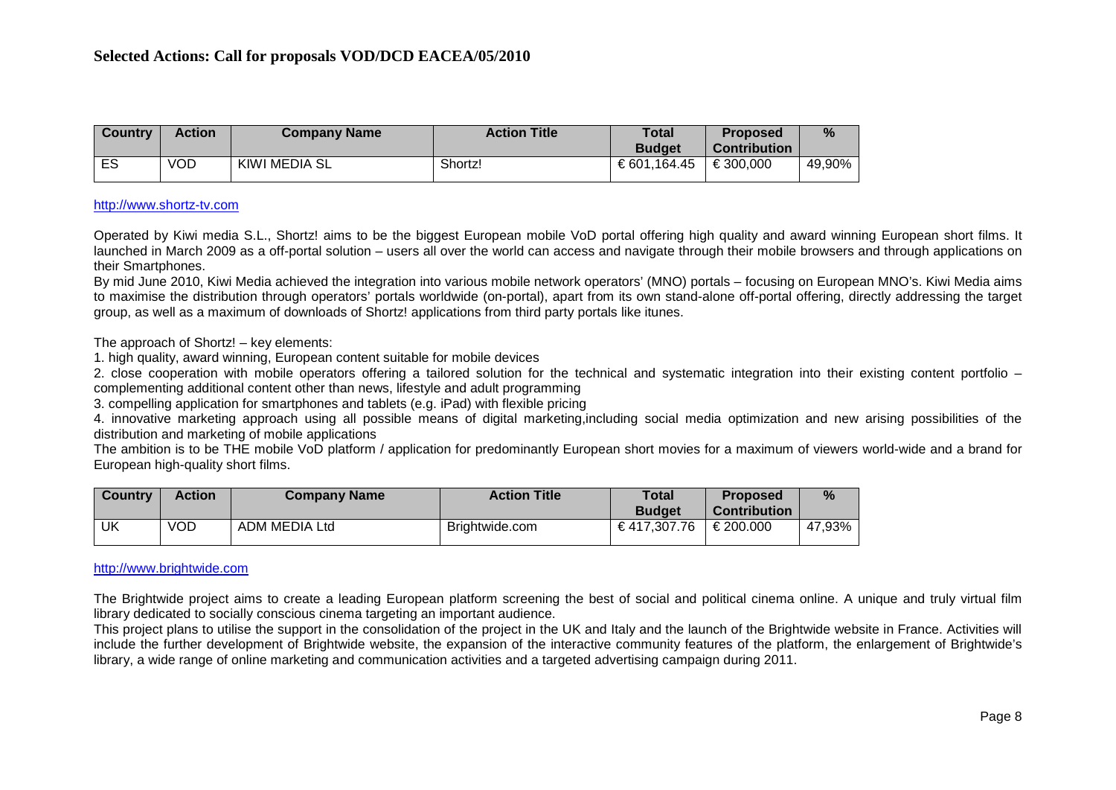| <b>Country</b> | <b>Action</b> | <b>Company Name</b> | <b>Action Title</b> | <b>Total</b><br><b>Budget</b> | <b>Proposed</b><br><b>Contribution</b> | %      |
|----------------|---------------|---------------------|---------------------|-------------------------------|----------------------------------------|--------|
| ES             | VOD           | KIWI MEDIA SL       | Shortz!             | €601,164.45                   | €300,000                               | 49,90% |

#### [http://www.shortz-tv.com](http://www.shortz-tv.com/)

Operated by Kiwi media S.L., Shortz! aims to be the biggest European mobile VoD portal offering high quality and award winning European short films. It launched in March 2009 as a off-portal solution – users all over the world can access and navigate through their mobile browsers and through applications on their Smartphones.

By mid June 2010, Kiwi Media achieved the integration into various mobile network operators' (MNO) portals – focusing on European MNO's. Kiwi Media aims to maximise the distribution through operators' portals worldwide (on-portal), apart from its own stand-alone off-portal offering, directly addressing the target group, as well as a maximum of downloads of Shortz! applications from third party portals like itunes.

The approach of Shortz! – key elements:

1. high quality, award winning, European content suitable for mobile devices

2. close cooperation with mobile operators offering a tailored solution for the technical and systematic integration into their existing content portfolio – complementing additional content other than news, lifestyle and adult programming

3. compelling application for smartphones and tablets (e.g. iPad) with flexible pricing

4. innovative marketing approach using all possible means of digital marketing,including social media optimization and new arising possibilities of the distribution and marketing of mobile applications

The ambition is to be THE mobile VoD platform / application for predominantly European short movies for a maximum of viewers world-wide and a brand for European high-quality short films.

| Country | <b>Action</b> | <b>Company Name</b> | <b>Action Title</b> | Total<br><b>Budget</b> | <b>Proposed</b><br><b>Contribution</b> | %      |
|---------|---------------|---------------------|---------------------|------------------------|----------------------------------------|--------|
| UK      | <b>VOD</b>    | ADM MEDIA Ltd       | Brightwide.com      | €417,307.76            | €200.000                               | 47,93% |

#### [http://www.brightwide.com](http://www.brightwide.com/)

The Brightwide project aims to create a leading European platform screening the best of social and political cinema online. A unique and truly virtual film library dedicated to socially conscious cinema targeting an important audience.

This project plans to utilise the support in the consolidation of the project in the UK and Italy and the launch of the Brightwide website in France. Activities will include the further development of Brightwide website, the expansion of the interactive community features of the platform, the enlargement of Brightwide's library, a wide range of online marketing and communication activities and a targeted advertising campaign during 2011.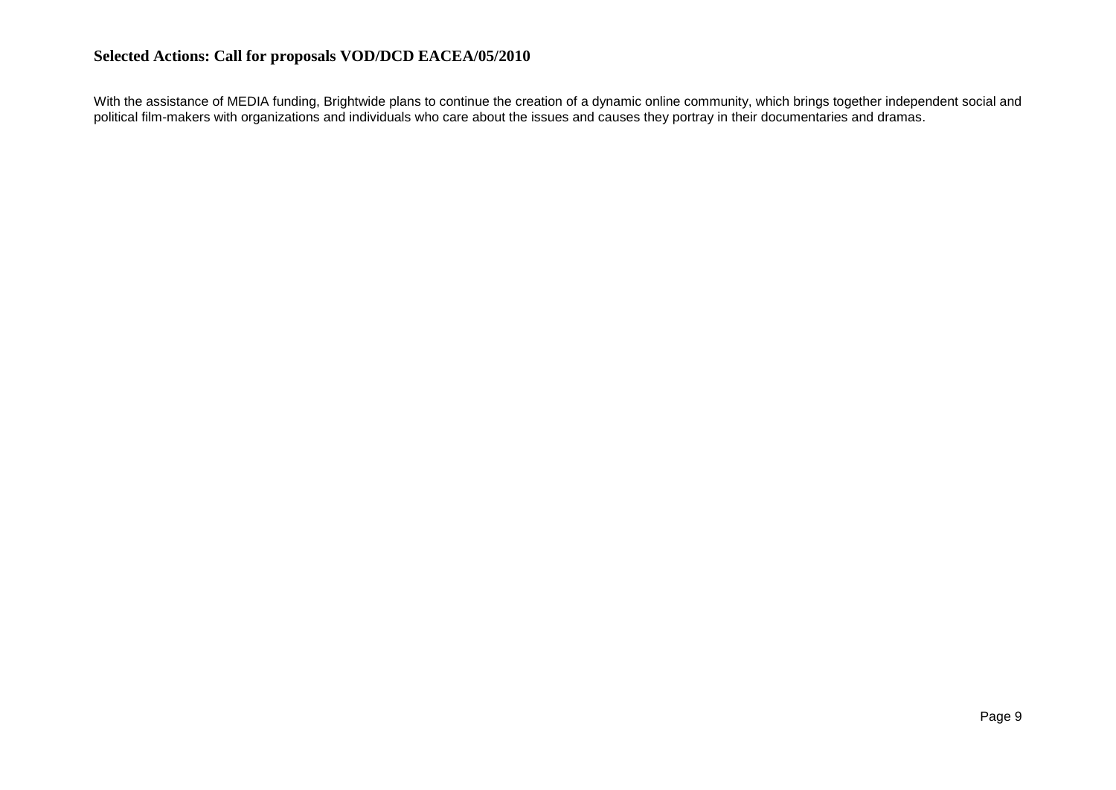With the assistance of MEDIA funding, Brightwide plans to continue the creation of a dynamic online community, which brings together independent social and political film-makers with organizations and individuals who care about the issues and causes they portray in their documentaries and dramas.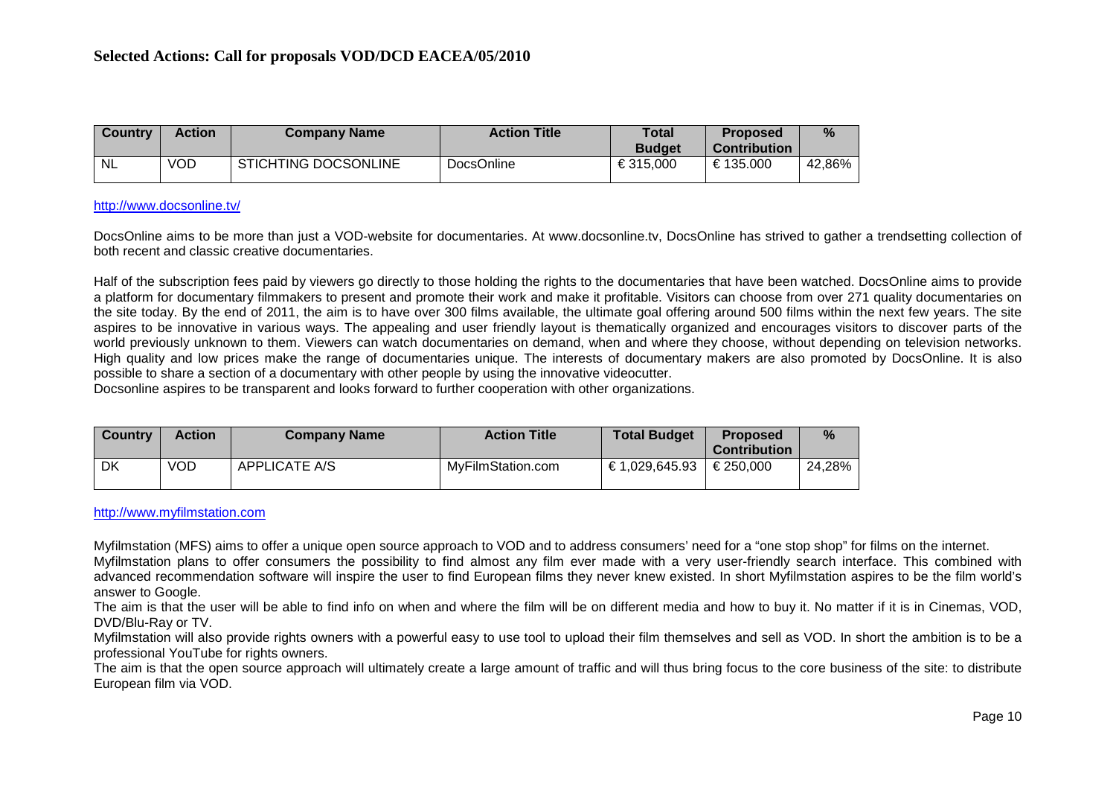| <b>Country</b> | <b>Action</b> | <b>Company Name</b>         | <b>Action Title</b> | <b>Total</b><br><b>Budget</b> | <b>Proposed</b><br><b>Contribution</b> | %      |
|----------------|---------------|-----------------------------|---------------------|-------------------------------|----------------------------------------|--------|
| <b>NL</b>      | VOD           | <b>STICHTING DOCSONLINE</b> | <b>DocsOnline</b>   | €315.000                      | €135.000                               | 42,86% |

#### <http://www.docsonline.tv/>

DocsOnline aims to be more than just a VOD-website for documentaries. At www.docsonline.tv, DocsOnline has strived to gather a trendsetting collection of both recent and classic creative documentaries.

Half of the subscription fees paid by viewers go directly to those holding the rights to the documentaries that have been watched. DocsOnline aims to provide a platform for documentary filmmakers to present and promote their work and make it profitable. Visitors can choose from over 271 quality documentaries on the site today. By the end of 2011, the aim is to have over 300 films available, the ultimate goal offering around 500 films within the next few years. The site aspires to be innovative in various ways. The appealing and user friendly layout is thematically organized and encourages visitors to discover parts of the world previously unknown to them. Viewers can watch documentaries on demand, when and where they choose, without depending on television networks. High quality and low prices make the range of documentaries unique. The interests of documentary makers are also promoted by DocsOnline. It is also possible to share a section of a documentary with other people by using the innovative videocutter.

Docsonline aspires to be transparent and looks forward to further cooperation with other organizations.

| l Country | <b>Action</b> | <b>Company Name</b>  | <b>Action Title</b> | <b>Total Budget</b> | <b>Proposed</b><br><b>Contribution</b> | $\frac{9}{6}$ |
|-----------|---------------|----------------------|---------------------|---------------------|----------------------------------------|---------------|
| <b>DK</b> | <b>VOD</b>    | <b>APPLICATE A/S</b> | MvFilmStation.com   | € 1.029.645.93      | €250.000                               | 24,28%        |

## [http://www.myfilmstation.com](http://www.myfilmstation.com/)

Myfilmstation (MFS) aims to offer a unique open source approach to VOD and to address consumers' need for a "one stop shop" for films on the internet.

Myfilmstation plans to offer consumers the possibility to find almost any film ever made with a very user-friendly search interface. This combined with advanced recommendation software will inspire the user to find European films they never knew existed. In short Myfilmstation aspires to be the film world's answer to Google.

The aim is that the user will be able to find info on when and where the film will be on different media and how to buy it. No matter if it is in Cinemas, VOD, DVD/Blu-Ray or TV.

Myfilmstation will also provide rights owners with a powerful easy to use tool to upload their film themselves and sell as VOD. In short the ambition is to be a professional YouTube for rights owners.

The aim is that the open source approach will ultimately create a large amount of traffic and will thus bring focus to the core business of the site: to distribute European film via VOD.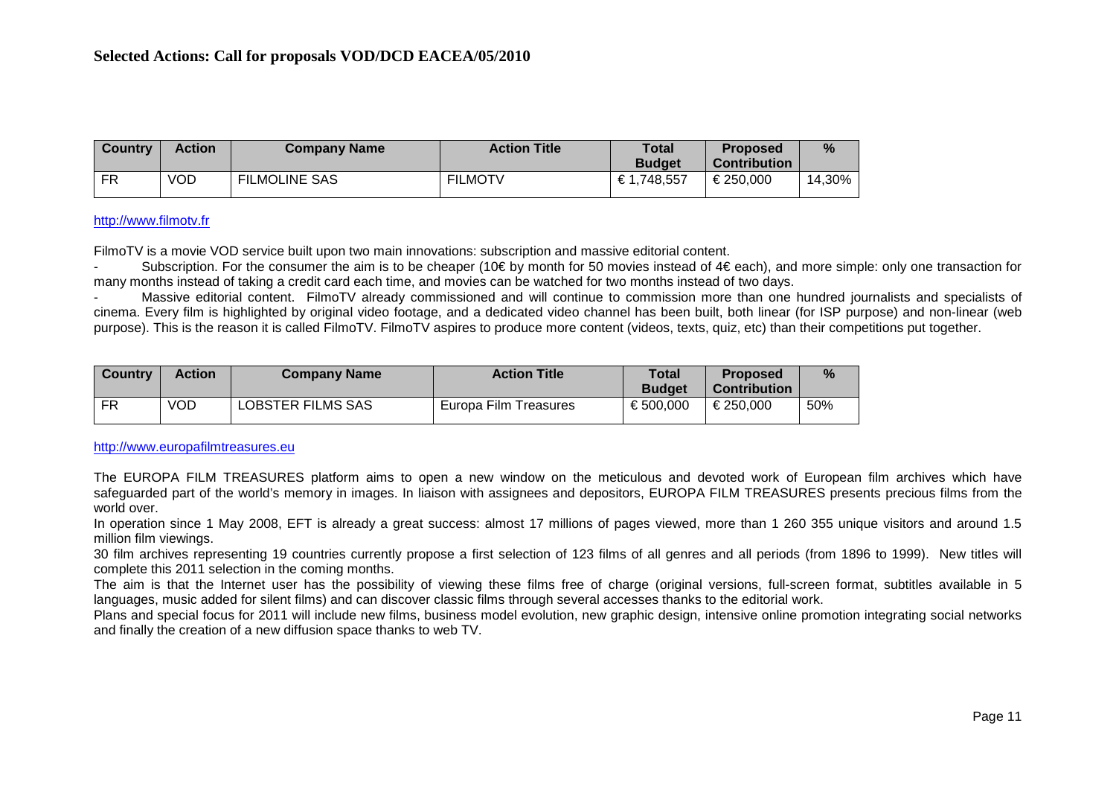| <b>Country</b> | <b>Action</b> | <b>Company Name</b>  | <b>Action Title</b> | <b>Total</b><br><b>Budget</b> | <b>Proposed</b><br><b>Contribution</b> | %      |
|----------------|---------------|----------------------|---------------------|-------------------------------|----------------------------------------|--------|
| FR             | <b>VOD</b>    | <b>FILMOLINE SAS</b> | <b>FILMOTV</b>      | €1,748,557                    | €250.000                               | 14,30% |

#### [http://www.filmotv.fr](http://www.filmotv.fr/)

FilmoTV is a movie VOD service built upon two main innovations: subscription and massive editorial content.

Subscription. For the consumer the aim is to be cheaper (10€ by month for 50 movies instead of  $4€$  each), and more simple: only one transaction for many months instead of taking a credit card each time, and movies can be watched for two months instead of two days.

- Massive editorial content. FilmoTV already commissioned and will continue to commission more than one hundred journalists and specialists of cinema. Every film is highlighted by original video footage, and a dedicated video channel has been built, both linear (for ISP purpose) and non-linear (web purpose). This is the reason it is called FilmoTV. FilmoTV aspires to produce more content (videos, texts, quiz, etc) than their competitions put together.

| <b>Country</b> | Action | <b>Company Name</b> | <b>Action Title</b>   | Total<br><b>Budget</b> | <b>Proposed</b><br><b>Contribution</b> | %   |
|----------------|--------|---------------------|-----------------------|------------------------|----------------------------------------|-----|
| <b>FR</b>      | VOD    | LOBSTER FILMS SAS   | Europa Film Treasures | €500.000               | €250.000                               | 50% |

[http://www.europafilmtreasures.eu](http://www.europafilmtreasures.eu/)

The EUROPA FILM TREASURES platform aims to open a new window on the meticulous and devoted work of European film archives which have safeguarded part of the world's memory in images. In liaison with assignees and depositors, EUROPA FILM TREASURES presents precious films from the world over.

In operation since 1 May 2008, EFT is already a great success: almost 17 millions of pages viewed, more than 1 260 355 unique visitors and around 1.5 million film viewings.

30 film archives representing 19 countries currently propose a first selection of 123 films of all genres and all periods (from 1896 to 1999). New titles will complete this 2011 selection in the coming months.

The aim is that the Internet user has the possibility of viewing these films free of charge (original versions, full-screen format, subtitles available in 5 languages, music added for silent films) and can discover classic films through several accesses thanks to the editorial work.

Plans and special focus for 2011 will include new films, business model evolution, new graphic design, intensive online promotion integrating social networks and finally the creation of a new diffusion space thanks to web TV.